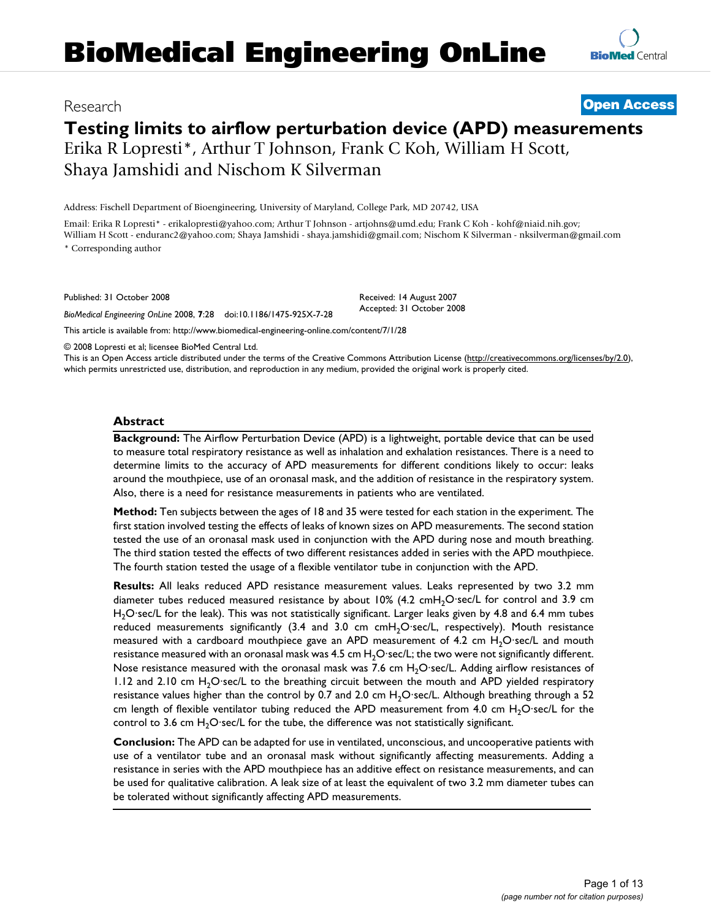# **Testing limits to airflow perturbation device (APD) measurements** Erika R Lopresti\*, Arthur T Johnson, Frank C Koh, William H Scott, Shaya Jamshidi and Nischom K Silverman

Address: Fischell Department of Bioengineering, University of Maryland, College Park, MD 20742, USA

Email: Erika R Lopresti\* - erikalopresti@yahoo.com; Arthur T Johnson - artjohns@umd.edu; Frank C Koh - kohf@niaid.nih.gov; William H Scott - enduranc2@yahoo.com; Shaya Jamshidi - shaya.jamshidi@gmail.com; Nischom K Silverman - nksilverman@gmail.com \* Corresponding author

Published: 31 October 2008

*BioMedical Engineering OnLine* 2008, **7**:28 doi:10.1186/1475-925X-7-28

[This article is available from: http://www.biomedical-engineering-online.com/content/7/1/28](http://www.biomedical-engineering-online.com/content/7/1/28)

© 2008 Lopresti et al; licensee BioMed Central Ltd.

This is an Open Access article distributed under the terms of the Creative Commons Attribution License [\(http://creativecommons.org/licenses/by/2.0\)](http://creativecommons.org/licenses/by/2.0), which permits unrestricted use, distribution, and reproduction in any medium, provided the original work is properly cited.

Received: 14 August 2007 Accepted: 31 October 2008

# **Abstract**

**Background:** The Airflow Perturbation Device (APD) is a lightweight, portable device that can be used to measure total respiratory resistance as well as inhalation and exhalation resistances. There is a need to determine limits to the accuracy of APD measurements for different conditions likely to occur: leaks around the mouthpiece, use of an oronasal mask, and the addition of resistance in the respiratory system. Also, there is a need for resistance measurements in patients who are ventilated.

**Method:** Ten subjects between the ages of 18 and 35 were tested for each station in the experiment. The first station involved testing the effects of leaks of known sizes on APD measurements. The second station tested the use of an oronasal mask used in conjunction with the APD during nose and mouth breathing. The third station tested the effects of two different resistances added in series with the APD mouthpiece. The fourth station tested the usage of a flexible ventilator tube in conjunction with the APD.

**Results:** All leaks reduced APD resistance measurement values. Leaks represented by two 3.2 mm diameter tubes reduced measured resistance by about 10% (4.2 cmH<sub>2</sub>O·sec/L for control and 3.9 cm H<sub>2</sub>O·sec/L for the leak). This was not statistically significant. Larger leaks given by 4.8 and 6.4 mm tubes reduced measurements significantly (3.4 and 3.0 cm cmH<sub>2</sub>O·sec/L, respectively). Mouth resistance measured with a cardboard mouthpiece gave an APD measurement of 4.2 cm  $H_2O$ ·sec/L and mouth resistance measured with an oronasal mask was 4.5 cm  $H_2O$  sec/L; the two were not significantly different. Nose resistance measured with the oronasal mask was 7.6 cm  $H_2O$ ·sec/L. Adding airflow resistances of 1.12 and 2.10 cm  $H_2O$  sec/L to the breathing circuit between the mouth and APD yielded respiratory resistance values higher than the control by 0.7 and 2.0 cm  $H_2O\text{-}sec/L$ . Although breathing through a 52 cm length of flexible ventilator tubing reduced the APD measurement from 4.0 cm  $H_2O$ ·sec/L for the control to 3.6 cm  $H_2O$ ·sec/L for the tube, the difference was not statistically significant.

**Conclusion:** The APD can be adapted for use in ventilated, unconscious, and uncooperative patients with use of a ventilator tube and an oronasal mask without significantly affecting measurements. Adding a resistance in series with the APD mouthpiece has an additive effect on resistance measurements, and can be used for qualitative calibration. A leak size of at least the equivalent of two 3.2 mm diameter tubes can be tolerated without significantly affecting APD measurements.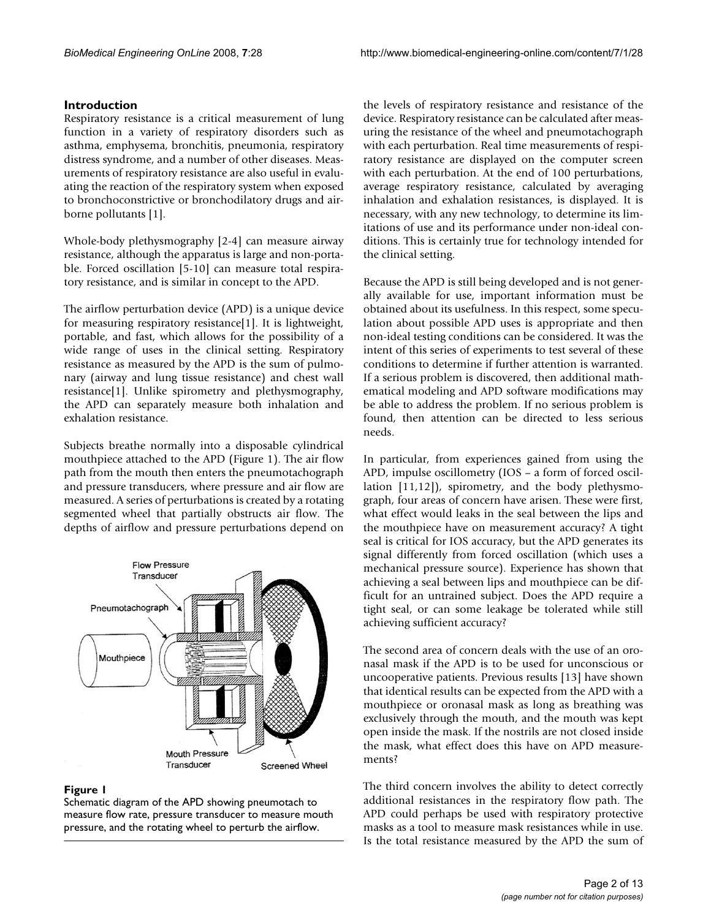# **Introduction**

Respiratory resistance is a critical measurement of lung function in a variety of respiratory disorders such as asthma, emphysema, bronchitis, pneumonia, respiratory distress syndrome, and a number of other diseases. Measurements of respiratory resistance are also useful in evaluating the reaction of the respiratory system when exposed to bronchoconstrictive or bronchodilatory drugs and airborne pollutants [1].

Whole-body plethysmography [2-4] can measure airway resistance, although the apparatus is large and non-portable. Forced oscillation [5-10] can measure total respiratory resistance, and is similar in concept to the APD.

The airflow perturbation device (APD) is a unique device for measuring respiratory resistance[1]. It is lightweight, portable, and fast, which allows for the possibility of a wide range of uses in the clinical setting. Respiratory resistance as measured by the APD is the sum of pulmonary (airway and lung tissue resistance) and chest wall resistance[1]. Unlike spirometry and plethysmography, the APD can separately measure both inhalation and exhalation resistance.

Subjects breathe normally into a disposable cylindrical mouthpiece attached to the APD (Figure 1). The air flow path from the mouth then enters the pneumotachograph and pressure transducers, where pressure and air flow are measured. A series of perturbations is created by a rotating segmented wheel that partially obstructs air flow. The depths of airflow and pressure perturbations depend on



# Figure 1

Schematic diagram of the APD showing pneumotach to measure flow rate, pressure transducer to measure mouth pressure, and the rotating wheel to perturb the airflow.

the levels of respiratory resistance and resistance of the device. Respiratory resistance can be calculated after measuring the resistance of the wheel and pneumotachograph with each perturbation. Real time measurements of respiratory resistance are displayed on the computer screen with each perturbation. At the end of 100 perturbations, average respiratory resistance, calculated by averaging inhalation and exhalation resistances, is displayed. It is necessary, with any new technology, to determine its limitations of use and its performance under non-ideal conditions. This is certainly true for technology intended for the clinical setting.

Because the APD is still being developed and is not generally available for use, important information must be obtained about its usefulness. In this respect, some speculation about possible APD uses is appropriate and then non-ideal testing conditions can be considered. It was the intent of this series of experiments to test several of these conditions to determine if further attention is warranted. If a serious problem is discovered, then additional mathematical modeling and APD software modifications may be able to address the problem. If no serious problem is found, then attention can be directed to less serious needs.

In particular, from experiences gained from using the APD, impulse oscillometry (IOS – a form of forced oscillation [11,12]), spirometry, and the body plethysmograph, four areas of concern have arisen. These were first, what effect would leaks in the seal between the lips and the mouthpiece have on measurement accuracy? A tight seal is critical for IOS accuracy, but the APD generates its signal differently from forced oscillation (which uses a mechanical pressure source). Experience has shown that achieving a seal between lips and mouthpiece can be difficult for an untrained subject. Does the APD require a tight seal, or can some leakage be tolerated while still achieving sufficient accuracy?

The second area of concern deals with the use of an oronasal mask if the APD is to be used for unconscious or uncooperative patients. Previous results [13] have shown that identical results can be expected from the APD with a mouthpiece or oronasal mask as long as breathing was exclusively through the mouth, and the mouth was kept open inside the mask. If the nostrils are not closed inside the mask, what effect does this have on APD measurements?

The third concern involves the ability to detect correctly additional resistances in the respiratory flow path. The APD could perhaps be used with respiratory protective masks as a tool to measure mask resistances while in use. Is the total resistance measured by the APD the sum of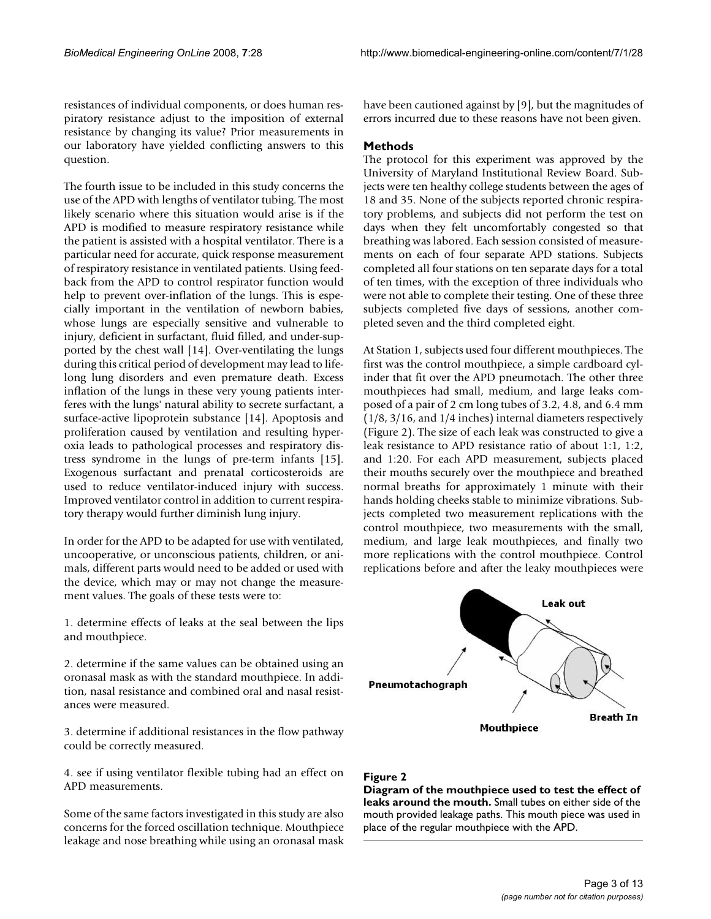resistances of individual components, or does human respiratory resistance adjust to the imposition of external resistance by changing its value? Prior measurements in our laboratory have yielded conflicting answers to this question.

The fourth issue to be included in this study concerns the use of the APD with lengths of ventilator tubing. The most likely scenario where this situation would arise is if the APD is modified to measure respiratory resistance while the patient is assisted with a hospital ventilator. There is a particular need for accurate, quick response measurement of respiratory resistance in ventilated patients. Using feedback from the APD to control respirator function would help to prevent over-inflation of the lungs. This is especially important in the ventilation of newborn babies, whose lungs are especially sensitive and vulnerable to injury, deficient in surfactant, fluid filled, and under-supported by the chest wall [14]. Over-ventilating the lungs during this critical period of development may lead to lifelong lung disorders and even premature death. Excess inflation of the lungs in these very young patients interferes with the lungs' natural ability to secrete surfactant, a surface-active lipoprotein substance [14]. Apoptosis and proliferation caused by ventilation and resulting hyperoxia leads to pathological processes and respiratory distress syndrome in the lungs of pre-term infants [15]. Exogenous surfactant and prenatal corticosteroids are used to reduce ventilator-induced injury with success. Improved ventilator control in addition to current respiratory therapy would further diminish lung injury.

In order for the APD to be adapted for use with ventilated, uncooperative, or unconscious patients, children, or animals, different parts would need to be added or used with the device, which may or may not change the measurement values. The goals of these tests were to:

1. determine effects of leaks at the seal between the lips and mouthpiece.

2. determine if the same values can be obtained using an oronasal mask as with the standard mouthpiece. In addition, nasal resistance and combined oral and nasal resistances were measured.

3. determine if additional resistances in the flow pathway could be correctly measured.

4. see if using ventilator flexible tubing had an effect on APD measurements.

Some of the same factors investigated in this study are also concerns for the forced oscillation technique. Mouthpiece leakage and nose breathing while using an oronasal mask have been cautioned against by [9], but the magnitudes of errors incurred due to these reasons have not been given.

# **Methods**

The protocol for this experiment was approved by the University of Maryland Institutional Review Board. Subjects were ten healthy college students between the ages of 18 and 35. None of the subjects reported chronic respiratory problems, and subjects did not perform the test on days when they felt uncomfortably congested so that breathing was labored. Each session consisted of measurements on each of four separate APD stations. Subjects completed all four stations on ten separate days for a total of ten times, with the exception of three individuals who were not able to complete their testing. One of these three subjects completed five days of sessions, another completed seven and the third completed eight.

At Station 1, subjects used four different mouthpieces. The first was the control mouthpiece, a simple cardboard cylinder that fit over the APD pneumotach. The other three mouthpieces had small, medium, and large leaks composed of a pair of 2 cm long tubes of 3.2, 4.8, and 6.4 mm (1/8, 3/16, and 1/4 inches) internal diameters respectively (Figure 2). The size of each leak was constructed to give a leak resistance to APD resistance ratio of about 1:1, 1:2, and 1:20. For each APD measurement, subjects placed their mouths securely over the mouthpiece and breathed normal breaths for approximately 1 minute with their hands holding cheeks stable to minimize vibrations. Subjects completed two measurement replications with the control mouthpiece, two measurements with the small, medium, and large leak mouthpieces, and finally two more replications with the control mouthpiece. Control replications before and after the leaky mouthpieces were



# **Figure 2**

**Diagram of the mouthpiece used to test the effect of leaks around the mouth.** Small tubes on either side of the mouth provided leakage paths. This mouth piece was used in place of the regular mouthpiece with the APD.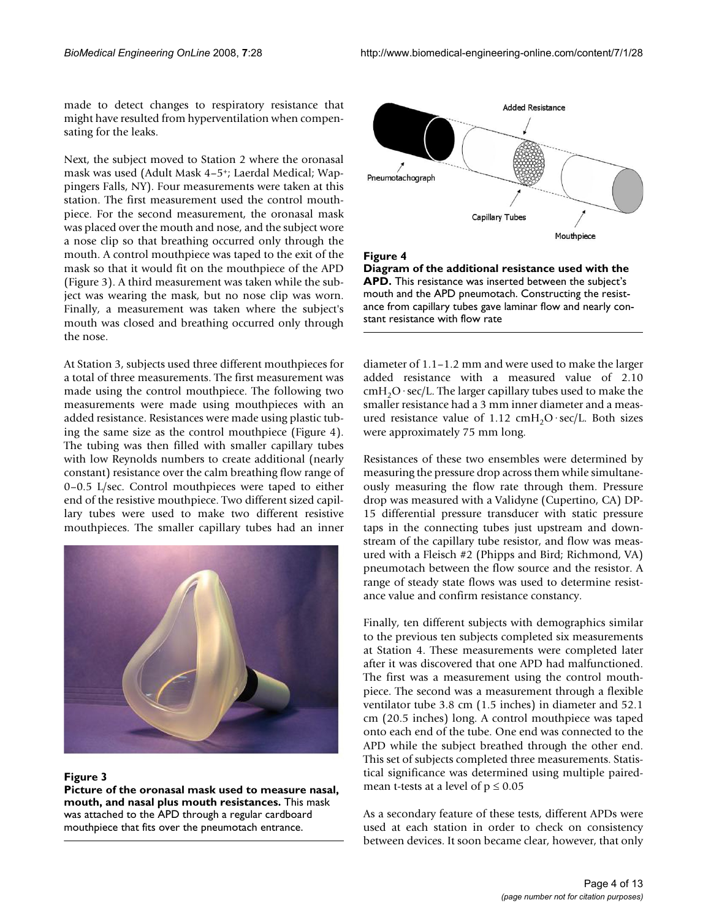made to detect changes to respiratory resistance that might have resulted from hyperventilation when compensating for the leaks.

Next, the subject moved to Station 2 where the oronasal mask was used (Adult Mask 4–5+; Laerdal Medical; Wappingers Falls, NY). Four measurements were taken at this station. The first measurement used the control mouthpiece. For the second measurement, the oronasal mask was placed over the mouth and nose, and the subject wore a nose clip so that breathing occurred only through the mouth. A control mouthpiece was taped to the exit of the mask so that it would fit on the mouthpiece of the APD (Figure 3). A third measurement was taken while the subject was wearing the mask, but no nose clip was worn. Finally, a measurement was taken where the subject's mouth was closed and breathing occurred only through the nose.

At Station 3, subjects used three different mouthpieces for a total of three measurements. The first measurement was made using the control mouthpiece. The following two measurements were made using mouthpieces with an added resistance. Resistances were made using plastic tubing the same size as the control mouthpiece (Figure 4). The tubing was then filled with smaller capillary tubes with low Reynolds numbers to create additional (nearly constant) resistance over the calm breathing flow range of 0–0.5 L/sec. Control mouthpieces were taped to either end of the resistive mouthpiece. Two different sized capillary tubes were used to make two different resistive mouthpieces. The smaller capillary tubes had an inner



### **Figure 3**

**Picture of the oronasal mask used to measure nasal, mouth, and nasal plus mouth resistances.** This mask was attached to the APD through a regular cardboard mouthpiece that fits over the pneumotach entrance.



## **Figure 4**

**Diagram of the additional resistance used with the APD.** This resistance was inserted between the subject's mouth and the APD pneumotach. Constructing the resistance from capillary tubes gave laminar flow and nearly constant resistance with flow rate

diameter of 1.1–1.2 mm and were used to make the larger added resistance with a measured value of 2.10  $cmH<sub>2</sub>O·sec/L$ . The larger capillary tubes used to make the smaller resistance had a 3 mm inner diameter and a measured resistance value of 1.12 cmH<sub>2</sub>O·sec/L. Both sizes were approximately 75 mm long.

Resistances of these two ensembles were determined by measuring the pressure drop across them while simultaneously measuring the flow rate through them. Pressure drop was measured with a Validyne (Cupertino, CA) DP-15 differential pressure transducer with static pressure taps in the connecting tubes just upstream and downstream of the capillary tube resistor, and flow was measured with a Fleisch #2 (Phipps and Bird; Richmond, VA) pneumotach between the flow source and the resistor. A range of steady state flows was used to determine resistance value and confirm resistance constancy.

Finally, ten different subjects with demographics similar to the previous ten subjects completed six measurements at Station 4. These measurements were completed later after it was discovered that one APD had malfunctioned. The first was a measurement using the control mouthpiece. The second was a measurement through a flexible ventilator tube 3.8 cm (1.5 inches) in diameter and 52.1 cm (20.5 inches) long. A control mouthpiece was taped onto each end of the tube. One end was connected to the APD while the subject breathed through the other end. This set of subjects completed three measurements. Statistical significance was determined using multiple pairedmean t-tests at a level of  $p \leq 0.05$ 

As a secondary feature of these tests, different APDs were used at each station in order to check on consistency between devices. It soon became clear, however, that only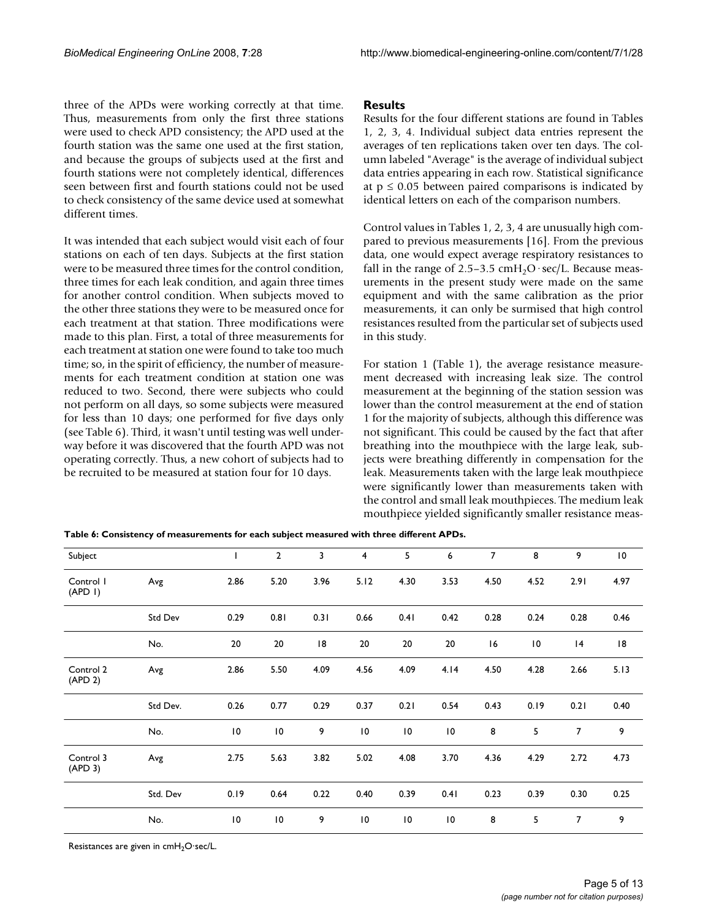three of the APDs were working correctly at that time. Thus, measurements from only the first three stations were used to check APD consistency; the APD used at the fourth station was the same one used at the first station, and because the groups of subjects used at the first and fourth stations were not completely identical, differences seen between first and fourth stations could not be used to check consistency of the same device used at somewhat different times.

It was intended that each subject would visit each of four stations on each of ten days. Subjects at the first station were to be measured three times for the control condition, three times for each leak condition, and again three times for another control condition. When subjects moved to the other three stations they were to be measured once for each treatment at that station. Three modifications were made to this plan. First, a total of three measurements for each treatment at station one were found to take too much time; so, in the spirit of efficiency, the number of measurements for each treatment condition at station one was reduced to two. Second, there were subjects who could not perform on all days, so some subjects were measured for less than 10 days; one performed for five days only (see Table 6). Third, it wasn't until testing was well underway before it was discovered that the fourth APD was not operating correctly. Thus, a new cohort of subjects had to be recruited to be measured at station four for 10 days.

# **Results**

Results for the four different stations are found in Tables 1, 2, 3, 4. Individual subject data entries represent the averages of ten replications taken over ten days. The column labeled "Average" is the average of individual subject data entries appearing in each row. Statistical significance at  $p \leq 0.05$  between paired comparisons is indicated by identical letters on each of the comparison numbers.

Control values in Tables 1, 2, 3, 4 are unusually high compared to previous measurements [16]. From the previous data, one would expect average respiratory resistances to fall in the range of 2.5–3.5 cmH<sub>2</sub>O·sec/L. Because measurements in the present study were made on the same equipment and with the same calibration as the prior measurements, it can only be surmised that high control resistances resulted from the particular set of subjects used in this study.

For station 1 (Table 1), the average resistance measurement decreased with increasing leak size. The control measurement at the beginning of the station session was lower than the control measurement at the end of station 1 for the majority of subjects, although this difference was not significant. This could be caused by the fact that after breathing into the mouthpiece with the large leak, subjects were breathing differently in compensation for the leak. Measurements taken with the large leak mouthpiece were significantly lower than measurements taken with the control and small leak mouthpieces. The medium leak mouthpiece yielded significantly smaller resistance meas-

**Table 6: Consistency of measurements for each subject measured with three different APDs.**

| Subject                          |          |                 | $\overline{2}$  | 3    | 4               | 5               | 6               | 7    | 8               | 9    | $\overline{10}$ |
|----------------------------------|----------|-----------------|-----------------|------|-----------------|-----------------|-----------------|------|-----------------|------|-----------------|
| Control I<br>(APD I)             | Avg      | 2.86            | 5.20            | 3.96 | 5.12            | 4.30            | 3.53            | 4.50 | 4.52            | 2.91 | 4.97            |
|                                  | Std Dev  | 0.29            | 0.81            | 0.31 | 0.66            | 0.41            | 0.42            | 0.28 | 0.24            | 0.28 | 0.46            |
|                                  | No.      | 20              | 20              | 18   | 20              | $20\,$          | 20              | 16   | $\overline{10}$ | 4    | 8               |
| Control 2<br>(APD <sub>2</sub> ) | Avg      | 2.86            | 5.50            | 4.09 | 4.56            | 4.09            | 4.14            | 4.50 | 4.28            | 2.66 | 5.13            |
|                                  | Std Dev. | 0.26            | 0.77            | 0.29 | 0.37            | 0.21            | 0.54            | 0.43 | 0.19            | 0.21 | 0.40            |
|                                  | No.      | $\overline{10}$ | $\overline{10}$ | 9    | $\overline{10}$ | 10              | $\overline{10}$ | 8    | 5               | 7    | 9               |
| Control 3<br>(APD <sub>3</sub> ) | Avg      | 2.75            | 5.63            | 3.82 | 5.02            | 4.08            | 3.70            | 4.36 | 4.29            | 2.72 | 4.73            |
|                                  | Std. Dev | 0.19            | 0.64            | 0.22 | 0.40            | 0.39            | 0.41            | 0.23 | 0.39            | 0.30 | 0.25            |
|                                  | No.      | $\overline{10}$ | $\overline{10}$ | 9    | $\overline{10}$ | $\overline{10}$ | $\overline{10}$ | 8    | 5               | 7    | 9               |

Resistances are given in  $cmH_2O$ ·sec/L.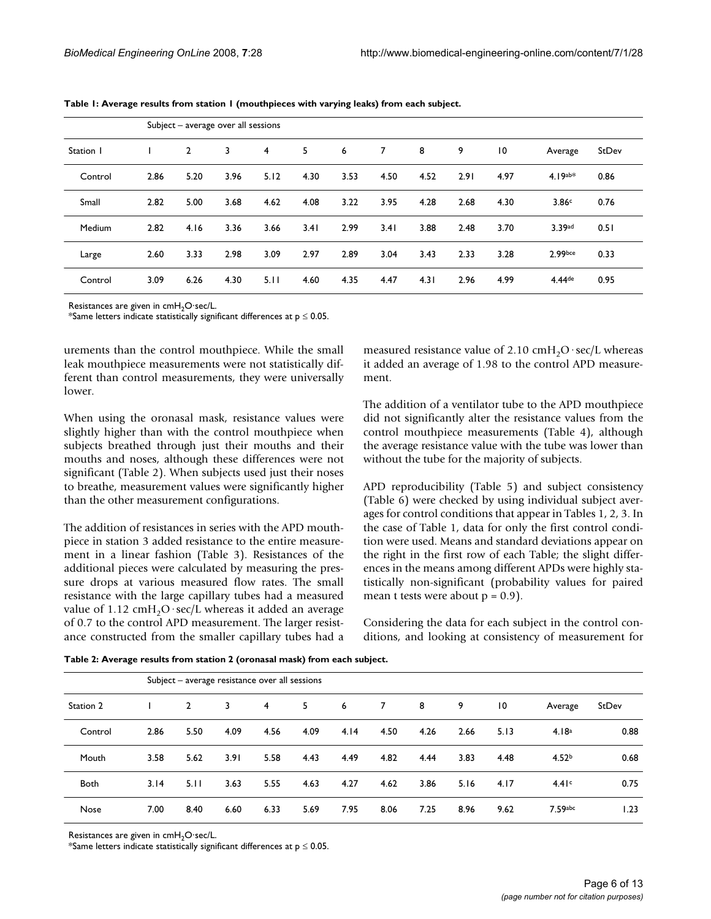|           | Subject $-$ average over all sessions |                |      |                |      |      |      |      |      |                 |                    |       |  |
|-----------|---------------------------------------|----------------|------|----------------|------|------|------|------|------|-----------------|--------------------|-------|--|
| Station 1 |                                       | $\overline{2}$ | 3    | $\overline{4}$ | 5    | 6    | 7    | 8    | 9    | $\overline{10}$ | Average            | StDev |  |
| Control   | 2.86                                  | 5.20           | 3.96 | 5.12           | 4.30 | 3.53 | 4.50 | 4.52 | 2.91 | 4.97            | $4.19ab*$          | 0.86  |  |
| Small     | 2.82                                  | 5.00           | 3.68 | 4.62           | 4.08 | 3.22 | 3.95 | 4.28 | 2.68 | 4.30            | 3.86c              | 0.76  |  |
| Medium    | 2.82                                  | 4.16           | 3.36 | 3.66           | 3.41 | 2.99 | 3.41 | 3.88 | 2.48 | 3.70            | 3.39 <sub>ad</sub> | 0.51  |  |
| Large     | 2.60                                  | 3.33           | 2.98 | 3.09           | 2.97 | 2.89 | 3.04 | 3.43 | 2.33 | 3.28            | 2.99bce            | 0.33  |  |
| Control   | 3.09                                  | 6.26           | 4.30 | 5.11           | 4.60 | 4.35 | 4.47 | 4.31 | 2.96 | 4.99            | 4.44de             | 0.95  |  |

**Table 1: Average results from station 1 (mouthpieces with varying leaks) from each subject.** 

Resistances are given in  $cmH_2O\text{-}sec/L$ .

\*Same letters indicate statistically significant differences at  $p \le 0.05$ .

urements than the control mouthpiece. While the small leak mouthpiece measurements were not statistically different than control measurements, they were universally lower.

When using the oronasal mask, resistance values were slightly higher than with the control mouthpiece when subjects breathed through just their mouths and their mouths and noses, although these differences were not significant (Table 2). When subjects used just their noses to breathe, measurement values were significantly higher than the other measurement configurations.

The addition of resistances in series with the APD mouthpiece in station 3 added resistance to the entire measurement in a linear fashion (Table 3). Resistances of the additional pieces were calculated by measuring the pressure drops at various measured flow rates. The small resistance with the large capillary tubes had a measured value of 1.12 cmH<sub>2</sub>O·sec/L whereas it added an average of 0.7 to the control APD measurement. The larger resistance constructed from the smaller capillary tubes had a measured resistance value of 2.10 cmH<sub>2</sub>O·sec/L whereas it added an average of 1.98 to the control APD measurement.

The addition of a ventilator tube to the APD mouthpiece did not significantly alter the resistance values from the control mouthpiece measurements (Table 4), although the average resistance value with the tube was lower than without the tube for the majority of subjects.

APD reproducibility (Table 5) and subject consistency (Table 6) were checked by using individual subject averages for control conditions that appear in Tables 1, 2, 3. In the case of Table 1, data for only the first control condition were used. Means and standard deviations appear on the right in the first row of each Table; the slight differences in the means among different APDs were highly statistically non-significant (probability values for paired mean t tests were about  $p = 0.9$ ).

Considering the data for each subject in the control conditions, and looking at consistency of measurement for

| Table 2: Average results from station 2 (oronasal mask) from each subject. |  |
|----------------------------------------------------------------------------|--|
|----------------------------------------------------------------------------|--|

|           | Subject – average resistance over all sessions |                |      |      |      |      |      |      |      |                 |                   |       |
|-----------|------------------------------------------------|----------------|------|------|------|------|------|------|------|-----------------|-------------------|-------|
| Station 2 |                                                | $\overline{2}$ | 3    | 4    | 5.   | 6    | 7    | 8    | 9    | $\overline{10}$ | Average           | StDev |
| Control   | 2.86                                           | 5.50           | 4.09 | 4.56 | 4.09 | 4.14 | 4.50 | 4.26 | 2.66 | 5.13            | 4.18 <sup>a</sup> | 0.88  |
| Mouth     | 3.58                                           | 5.62           | 3.91 | 5.58 | 4.43 | 4.49 | 4.82 | 4.44 | 3.83 | 4.48            | 4.52 <sup>b</sup> | 0.68  |
| Both      | 3.14                                           | 5.11           | 3.63 | 5.55 | 4.63 | 4.27 | 4.62 | 3.86 | 5.16 | 4.17            | 4.41c             | 0.75  |
| Nose      | 7.00                                           | 8.40           | 6.60 | 6.33 | 5.69 | 7.95 | 8.06 | 7.25 | 8.96 | 9.62            | 7.59abc           | 1.23  |

Resistances are given in  $cmH_2O\text{-}sec/L$ .

\*Same letters indicate statistically significant differences at  $p \le 0.05$ .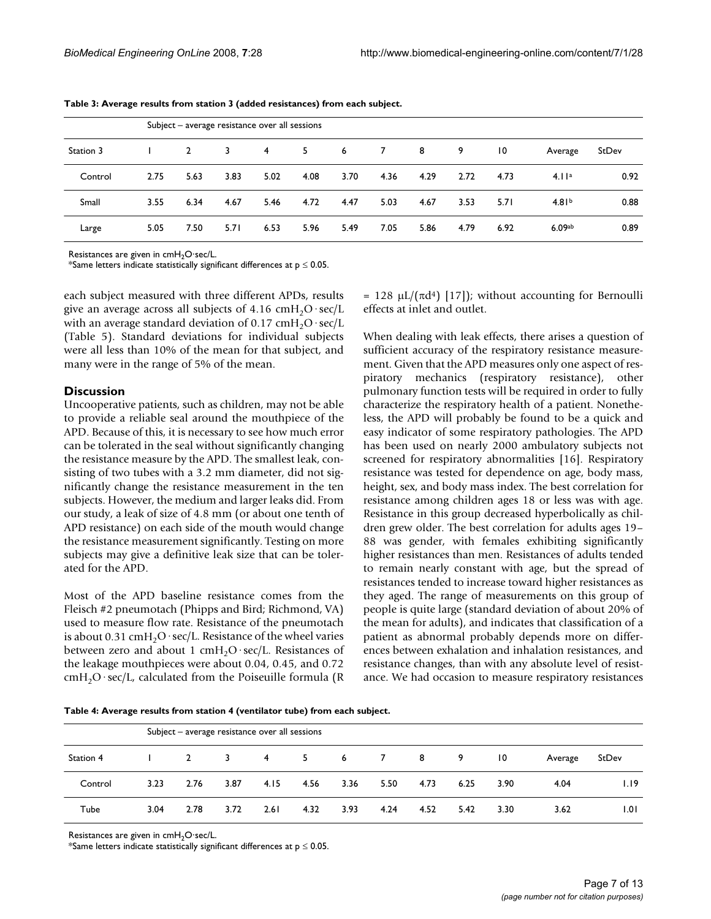|           |      | Subject – average resistance over all sessions |      |                |      |      |      |      |      |                 |                   |       |  |  |  |
|-----------|------|------------------------------------------------|------|----------------|------|------|------|------|------|-----------------|-------------------|-------|--|--|--|
| Station 3 |      | $\overline{2}$                                 | 3    | $\overline{4}$ | 5    | 6    | 7    | 8    | 9    | $\overline{10}$ | Average           | StDev |  |  |  |
| Control   | 2.75 | 5.63                                           | 3.83 | 5.02           | 4.08 | 3.70 | 4.36 | 4.29 | 2.72 | 4.73            | 4.11a             | 0.92  |  |  |  |
| Small     | 3.55 | 6.34                                           | 4.67 | 5.46           | 4.72 | 4.47 | 5.03 | 4.67 | 3.53 | 5.71            | 4.81 <sup>b</sup> | 0.88  |  |  |  |
| Large     | 5.05 | 7.50                                           | 5.71 | 6.53           | 5.96 | 5.49 | 7.05 | 5.86 | 4.79 | 6.92            | 6.09ab            | 0.89  |  |  |  |

**Table 3: Average results from station 3 (added resistances) from each subject.**

Resistances are given in cmH<sub>2</sub>O·sec/L.

\*Same letters indicate statistically significant differences at  $p \le 0.05$ .

each subject measured with three different APDs, results give an average across all subjects of 4.16 cmH<sub>2</sub>O·sec/L with an average standard deviation of 0.17 cmH<sub>2</sub>O·sec/L (Table 5). Standard deviations for individual subjects were all less than 10% of the mean for that subject, and many were in the range of 5% of the mean.

## **Discussion**

Uncooperative patients, such as children, may not be able to provide a reliable seal around the mouthpiece of the APD. Because of this, it is necessary to see how much error can be tolerated in the seal without significantly changing the resistance measure by the APD. The smallest leak, consisting of two tubes with a 3.2 mm diameter, did not significantly change the resistance measurement in the ten subjects. However, the medium and larger leaks did. From our study, a leak of size of 4.8 mm (or about one tenth of APD resistance) on each side of the mouth would change the resistance measurement significantly. Testing on more subjects may give a definitive leak size that can be tolerated for the APD.

Most of the APD baseline resistance comes from the Fleisch #2 pneumotach (Phipps and Bird; Richmond, VA) used to measure flow rate. Resistance of the pneumotach is about 0.31 cmH<sub>2</sub>O·sec/L. Resistance of the wheel varies between zero and about 1 cmH<sub>2</sub>O·sec/L. Resistances of the leakage mouthpieces were about 0.04, 0.45, and 0.72  $cmH<sub>2</sub>O·sec/L$ , calculated from the Poiseuille formula (R = 128  $\mu$ L/( $\pi$ d<sup>4</sup>) [17]); without accounting for Bernoulli effects at inlet and outlet.

When dealing with leak effects, there arises a question of sufficient accuracy of the respiratory resistance measurement. Given that the APD measures only one aspect of respiratory mechanics (respiratory resistance), other pulmonary function tests will be required in order to fully characterize the respiratory health of a patient. Nonetheless, the APD will probably be found to be a quick and easy indicator of some respiratory pathologies. The APD has been used on nearly 2000 ambulatory subjects not screened for respiratory abnormalities [16]. Respiratory resistance was tested for dependence on age, body mass, height, sex, and body mass index. The best correlation for resistance among children ages 18 or less was with age. Resistance in this group decreased hyperbolically as children grew older. The best correlation for adults ages 19– 88 was gender, with females exhibiting significantly higher resistances than men. Resistances of adults tended to remain nearly constant with age, but the spread of resistances tended to increase toward higher resistances as they aged. The range of measurements on this group of people is quite large (standard deviation of about 20% of the mean for adults), and indicates that classification of a patient as abnormal probably depends more on differences between exhalation and inhalation resistances, and resistance changes, than with any absolute level of resistance. We had occasion to measure respiratory resistances

**Table 4: Average results from station 4 (ventilator tube) from each subject.**

| Subject - average resistance over all sessions |      |                         |               |      |      |      |      |      |      |                 |         |       |
|------------------------------------------------|------|-------------------------|---------------|------|------|------|------|------|------|-----------------|---------|-------|
| Station 4                                      |      | $\overline{\mathbf{2}}$ | 3 4 5 6 7 8 9 |      |      |      |      |      |      | $\overline{10}$ | Average | StDev |
| Control                                        | 3.23 | 2.76                    | 3.87          | 4.15 | 4.56 | 3.36 | 5.50 | 4.73 | 6.25 | 3.90            | 4.04    | 1.19  |
| Tube                                           | 3.04 | 2.78                    | 3.72          | 2.61 | 4.32 | 3.93 | 4.24 | 4.52 | 5.42 | 3.30            | 3.62    | 1.OT  |

Resistances are given in cmH<sub>2</sub>O·sec/L.

\*Same letters indicate statistically significant differences at  $p \leq 0.05$ .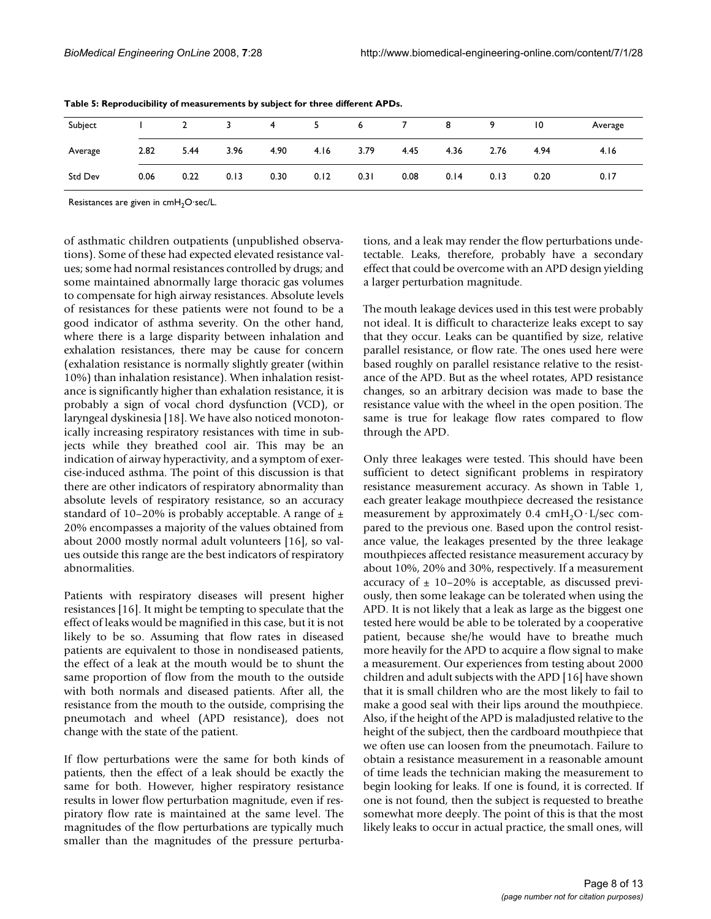| Subject        |      |      | 3    | -4   | 5    | 6    | $\overline{7}$ | 8    | 9    | $\overline{10}$ | Average |
|----------------|------|------|------|------|------|------|----------------|------|------|-----------------|---------|
| Average        | 2.82 | 5.44 | 3.96 | 4.90 | 4.16 | 3.79 | 4.45           | 4.36 | 2.76 | 4.94            | 4.16    |
| <b>Std Dev</b> | 0.06 | 0.22 | 0.13 | 0.30 | 0.12 | 0.31 | 0.08           | 0.14 | 0.13 | 0.20            | 0.17    |

**Table 5: Reproducibility of measurements by subject for three different APDs.**

Resistances are given in  $cmH_2O\text{-}sec/L$ .

of asthmatic children outpatients (unpublished observations). Some of these had expected elevated resistance values; some had normal resistances controlled by drugs; and some maintained abnormally large thoracic gas volumes to compensate for high airway resistances. Absolute levels of resistances for these patients were not found to be a good indicator of asthma severity. On the other hand, where there is a large disparity between inhalation and exhalation resistances, there may be cause for concern (exhalation resistance is normally slightly greater (within 10%) than inhalation resistance). When inhalation resistance is significantly higher than exhalation resistance, it is probably a sign of vocal chord dysfunction (VCD), or laryngeal dyskinesia [18]. We have also noticed monotonically increasing respiratory resistances with time in subjects while they breathed cool air. This may be an indication of airway hyperactivity, and a symptom of exercise-induced asthma. The point of this discussion is that there are other indicators of respiratory abnormality than absolute levels of respiratory resistance, so an accuracy standard of 10–20% is probably acceptable. A range of  $\pm$ 20% encompasses a majority of the values obtained from about 2000 mostly normal adult volunteers [16], so values outside this range are the best indicators of respiratory abnormalities.

Patients with respiratory diseases will present higher resistances [16]. It might be tempting to speculate that the effect of leaks would be magnified in this case, but it is not likely to be so. Assuming that flow rates in diseased patients are equivalent to those in nondiseased patients, the effect of a leak at the mouth would be to shunt the same proportion of flow from the mouth to the outside with both normals and diseased patients. After all, the resistance from the mouth to the outside, comprising the pneumotach and wheel (APD resistance), does not change with the state of the patient.

If flow perturbations were the same for both kinds of patients, then the effect of a leak should be exactly the same for both. However, higher respiratory resistance results in lower flow perturbation magnitude, even if respiratory flow rate is maintained at the same level. The magnitudes of the flow perturbations are typically much smaller than the magnitudes of the pressure perturbations, and a leak may render the flow perturbations undetectable. Leaks, therefore, probably have a secondary effect that could be overcome with an APD design yielding a larger perturbation magnitude.

The mouth leakage devices used in this test were probably not ideal. It is difficult to characterize leaks except to say that they occur. Leaks can be quantified by size, relative parallel resistance, or flow rate. The ones used here were based roughly on parallel resistance relative to the resistance of the APD. But as the wheel rotates, APD resistance changes, so an arbitrary decision was made to base the resistance value with the wheel in the open position. The same is true for leakage flow rates compared to flow through the APD.

Only three leakages were tested. This should have been sufficient to detect significant problems in respiratory resistance measurement accuracy. As shown in Table 1, each greater leakage mouthpiece decreased the resistance measurement by approximately 0.4  $cmH_2O \cdot L/sec$  compared to the previous one. Based upon the control resistance value, the leakages presented by the three leakage mouthpieces affected resistance measurement accuracy by about 10%, 20% and 30%, respectively. If a measurement accuracy of  $\pm$  10–20% is acceptable, as discussed previously, then some leakage can be tolerated when using the APD. It is not likely that a leak as large as the biggest one tested here would be able to be tolerated by a cooperative patient, because she/he would have to breathe much more heavily for the APD to acquire a flow signal to make a measurement. Our experiences from testing about 2000 children and adult subjects with the APD [16] have shown that it is small children who are the most likely to fail to make a good seal with their lips around the mouthpiece. Also, if the height of the APD is maladjusted relative to the height of the subject, then the cardboard mouthpiece that we often use can loosen from the pneumotach. Failure to obtain a resistance measurement in a reasonable amount of time leads the technician making the measurement to begin looking for leaks. If one is found, it is corrected. If one is not found, then the subject is requested to breathe somewhat more deeply. The point of this is that the most likely leaks to occur in actual practice, the small ones, will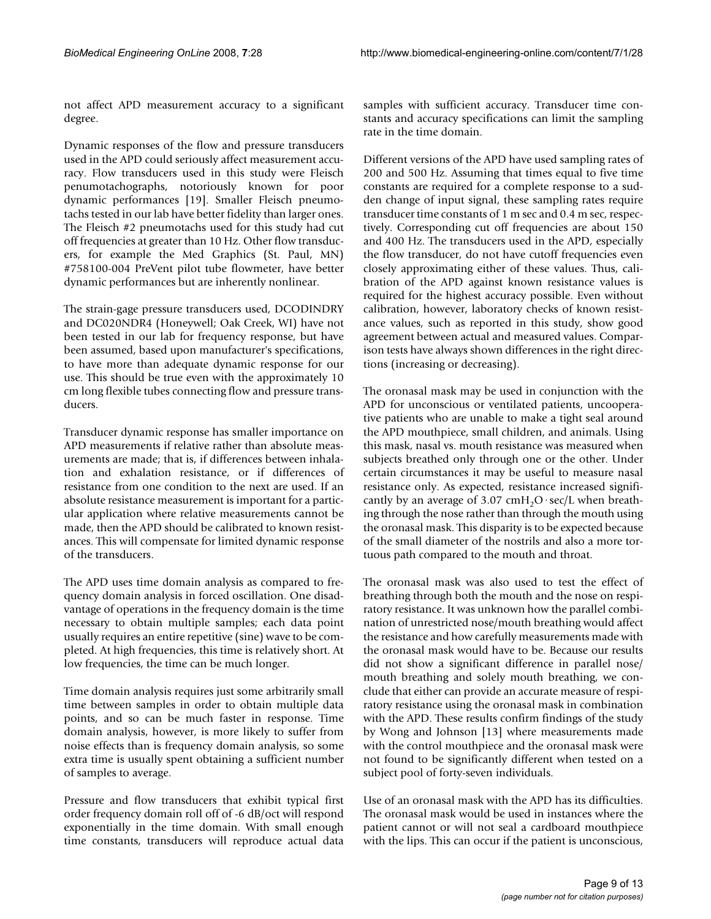not affect APD measurement accuracy to a significant degree.

Dynamic responses of the flow and pressure transducers used in the APD could seriously affect measurement accuracy. Flow transducers used in this study were Fleisch penumotachographs, notoriously known for poor dynamic performances [19]. Smaller Fleisch pneumotachs tested in our lab have better fidelity than larger ones. The Fleisch #2 pneumotachs used for this study had cut off frequencies at greater than 10 Hz. Other flow transducers, for example the Med Graphics (St. Paul, MN) #758100-004 PreVent pilot tube flowmeter, have better dynamic performances but are inherently nonlinear.

The strain-gage pressure transducers used, DCODINDRY and DC020NDR4 (Honeywell; Oak Creek, WI) have not been tested in our lab for frequency response, but have been assumed, based upon manufacturer's specifications, to have more than adequate dynamic response for our use. This should be true even with the approximately 10 cm long flexible tubes connecting flow and pressure transducers.

Transducer dynamic response has smaller importance on APD measurements if relative rather than absolute measurements are made; that is, if differences between inhalation and exhalation resistance, or if differences of resistance from one condition to the next are used. If an absolute resistance measurement is important for a particular application where relative measurements cannot be made, then the APD should be calibrated to known resistances. This will compensate for limited dynamic response of the transducers.

The APD uses time domain analysis as compared to frequency domain analysis in forced oscillation. One disadvantage of operations in the frequency domain is the time necessary to obtain multiple samples; each data point usually requires an entire repetitive (sine) wave to be completed. At high frequencies, this time is relatively short. At low frequencies, the time can be much longer.

Time domain analysis requires just some arbitrarily small time between samples in order to obtain multiple data points, and so can be much faster in response. Time domain analysis, however, is more likely to suffer from noise effects than is frequency domain analysis, so some extra time is usually spent obtaining a sufficient number of samples to average.

Pressure and flow transducers that exhibit typical first order frequency domain roll off of -6 dB/oct will respond exponentially in the time domain. With small enough time constants, transducers will reproduce actual data

samples with sufficient accuracy. Transducer time constants and accuracy specifications can limit the sampling rate in the time domain.

Different versions of the APD have used sampling rates of 200 and 500 Hz. Assuming that times equal to five time constants are required for a complete response to a sudden change of input signal, these sampling rates require transducer time constants of 1 m sec and 0.4 m sec, respectively. Corresponding cut off frequencies are about 150 and 400 Hz. The transducers used in the APD, especially the flow transducer, do not have cutoff frequencies even closely approximating either of these values. Thus, calibration of the APD against known resistance values is required for the highest accuracy possible. Even without calibration, however, laboratory checks of known resistance values, such as reported in this study, show good agreement between actual and measured values. Comparison tests have always shown differences in the right directions (increasing or decreasing).

The oronasal mask may be used in conjunction with the APD for unconscious or ventilated patients, uncooperative patients who are unable to make a tight seal around the APD mouthpiece, small children, and animals. Using this mask, nasal vs. mouth resistance was measured when subjects breathed only through one or the other. Under certain circumstances it may be useful to measure nasal resistance only. As expected, resistance increased significantly by an average of 3.07 cmH<sub>2</sub>O·sec/L when breathing through the nose rather than through the mouth using the oronasal mask. This disparity is to be expected because of the small diameter of the nostrils and also a more tortuous path compared to the mouth and throat.

The oronasal mask was also used to test the effect of breathing through both the mouth and the nose on respiratory resistance. It was unknown how the parallel combination of unrestricted nose/mouth breathing would affect the resistance and how carefully measurements made with the oronasal mask would have to be. Because our results did not show a significant difference in parallel nose/ mouth breathing and solely mouth breathing, we conclude that either can provide an accurate measure of respiratory resistance using the oronasal mask in combination with the APD. These results confirm findings of the study by Wong and Johnson [13] where measurements made with the control mouthpiece and the oronasal mask were not found to be significantly different when tested on a subject pool of forty-seven individuals.

Use of an oronasal mask with the APD has its difficulties. The oronasal mask would be used in instances where the patient cannot or will not seal a cardboard mouthpiece with the lips. This can occur if the patient is unconscious,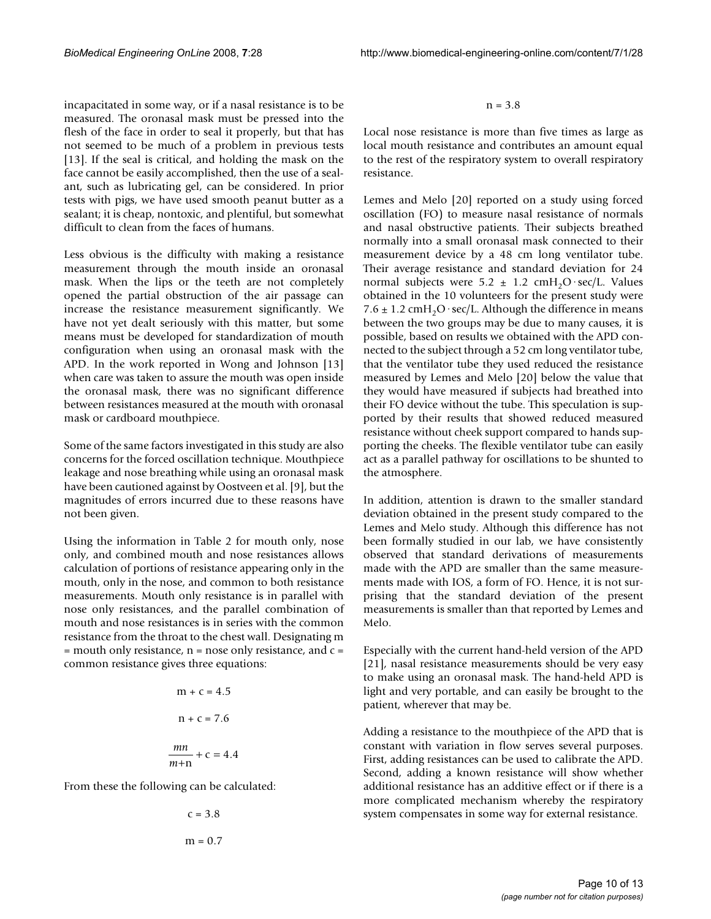incapacitated in some way, or if a nasal resistance is to be measured. The oronasal mask must be pressed into the flesh of the face in order to seal it properly, but that has not seemed to be much of a problem in previous tests [13]. If the seal is critical, and holding the mask on the face cannot be easily accomplished, then the use of a sealant, such as lubricating gel, can be considered. In prior tests with pigs, we have used smooth peanut butter as a sealant; it is cheap, nontoxic, and plentiful, but somewhat difficult to clean from the faces of humans.

Less obvious is the difficulty with making a resistance measurement through the mouth inside an oronasal mask. When the lips or the teeth are not completely opened the partial obstruction of the air passage can increase the resistance measurement significantly. We have not yet dealt seriously with this matter, but some means must be developed for standardization of mouth configuration when using an oronasal mask with the APD. In the work reported in Wong and Johnson [13] when care was taken to assure the mouth was open inside the oronasal mask, there was no significant difference between resistances measured at the mouth with oronasal mask or cardboard mouthpiece.

Some of the same factors investigated in this study are also concerns for the forced oscillation technique. Mouthpiece leakage and nose breathing while using an oronasal mask have been cautioned against by Oostveen et al. [9], but the magnitudes of errors incurred due to these reasons have not been given.

Using the information in Table 2 for mouth only, nose only, and combined mouth and nose resistances allows calculation of portions of resistance appearing only in the mouth, only in the nose, and common to both resistance measurements. Mouth only resistance is in parallel with nose only resistances, and the parallel combination of mouth and nose resistances is in series with the common resistance from the throat to the chest wall. Designating m  $=$  mouth only resistance,  $n =$  nose only resistance, and  $c =$ common resistance gives three equations:

$$
m + c = 4.5
$$

$$
n + c = 7.6
$$

$$
\frac{mn}{m+n} + c = 4.4
$$

From these the following can be calculated:

$$
c = 3.8
$$
  

$$
m = 0.7
$$

 $n = 3.8$ 

Local nose resistance is more than five times as large as local mouth resistance and contributes an amount equal to the rest of the respiratory system to overall respiratory resistance.

Lemes and Melo [20] reported on a study using forced oscillation (FO) to measure nasal resistance of normals and nasal obstructive patients. Their subjects breathed normally into a small oronasal mask connected to their measurement device by a 48 cm long ventilator tube. Their average resistance and standard deviation for 24 normal subjects were  $5.2 \pm 1.2 \text{ cmH}_2\text{O} \cdot \text{sec/L}$ . Values obtained in the 10 volunteers for the present study were 7.6  $\pm$  1.2 cmH<sub>2</sub>O·sec/L. Although the difference in means between the two groups may be due to many causes, it is possible, based on results we obtained with the APD connected to the subject through a 52 cm long ventilator tube, that the ventilator tube they used reduced the resistance measured by Lemes and Melo [20] below the value that they would have measured if subjects had breathed into their FO device without the tube. This speculation is supported by their results that showed reduced measured resistance without cheek support compared to hands supporting the cheeks. The flexible ventilator tube can easily act as a parallel pathway for oscillations to be shunted to the atmosphere.

In addition, attention is drawn to the smaller standard deviation obtained in the present study compared to the Lemes and Melo study. Although this difference has not been formally studied in our lab, we have consistently observed that standard derivations of measurements made with the APD are smaller than the same measurements made with IOS, a form of FO. Hence, it is not surprising that the standard deviation of the present measurements is smaller than that reported by Lemes and Melo.

Especially with the current hand-held version of the APD [21], nasal resistance measurements should be very easy to make using an oronasal mask. The hand-held APD is light and very portable, and can easily be brought to the patient, wherever that may be.

Adding a resistance to the mouthpiece of the APD that is constant with variation in flow serves several purposes. First, adding resistances can be used to calibrate the APD. Second, adding a known resistance will show whether additional resistance has an additive effect or if there is a more complicated mechanism whereby the respiratory system compensates in some way for external resistance.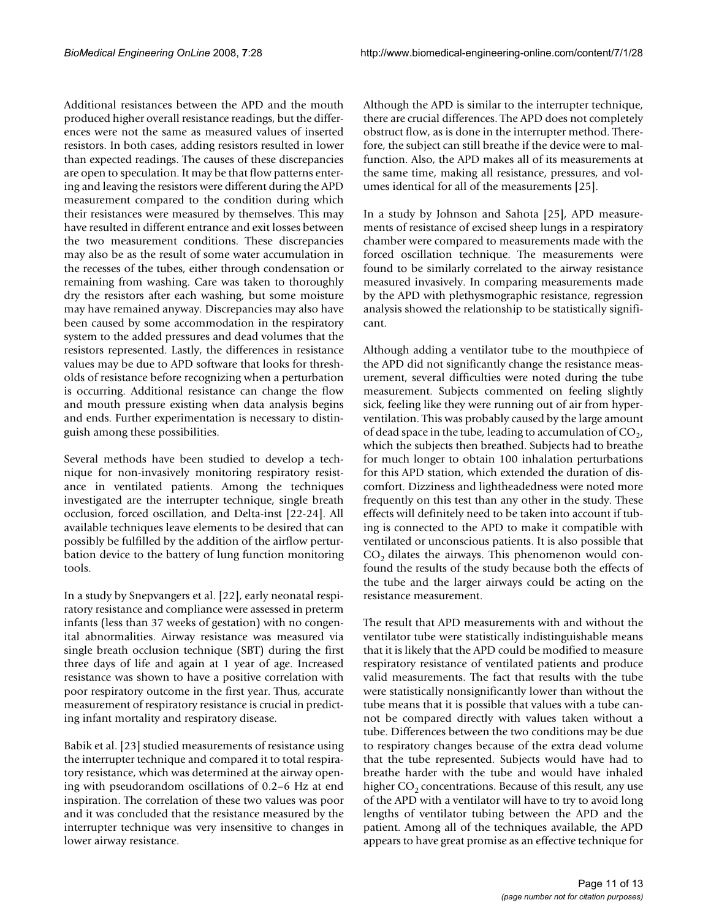Additional resistances between the APD and the mouth produced higher overall resistance readings, but the differences were not the same as measured values of inserted resistors. In both cases, adding resistors resulted in lower than expected readings. The causes of these discrepancies are open to speculation. It may be that flow patterns entering and leaving the resistors were different during the APD measurement compared to the condition during which their resistances were measured by themselves. This may have resulted in different entrance and exit losses between the two measurement conditions. These discrepancies may also be as the result of some water accumulation in the recesses of the tubes, either through condensation or remaining from washing. Care was taken to thoroughly dry the resistors after each washing, but some moisture may have remained anyway. Discrepancies may also have been caused by some accommodation in the respiratory system to the added pressures and dead volumes that the resistors represented. Lastly, the differences in resistance values may be due to APD software that looks for thresholds of resistance before recognizing when a perturbation is occurring. Additional resistance can change the flow and mouth pressure existing when data analysis begins and ends. Further experimentation is necessary to distinguish among these possibilities.

Several methods have been studied to develop a technique for non-invasively monitoring respiratory resistance in ventilated patients. Among the techniques investigated are the interrupter technique, single breath occlusion, forced oscillation, and Delta-inst [22-24]. All available techniques leave elements to be desired that can possibly be fulfilled by the addition of the airflow perturbation device to the battery of lung function monitoring tools.

In a study by Snepvangers et al. [22], early neonatal respiratory resistance and compliance were assessed in preterm infants (less than 37 weeks of gestation) with no congenital abnormalities. Airway resistance was measured via single breath occlusion technique (SBT) during the first three days of life and again at 1 year of age. Increased resistance was shown to have a positive correlation with poor respiratory outcome in the first year. Thus, accurate measurement of respiratory resistance is crucial in predicting infant mortality and respiratory disease.

Babik et al. [23] studied measurements of resistance using the interrupter technique and compared it to total respiratory resistance, which was determined at the airway opening with pseudorandom oscillations of 0.2–6 Hz at end inspiration. The correlation of these two values was poor and it was concluded that the resistance measured by the interrupter technique was very insensitive to changes in lower airway resistance.

Although the APD is similar to the interrupter technique, there are crucial differences. The APD does not completely obstruct flow, as is done in the interrupter method. Therefore, the subject can still breathe if the device were to malfunction. Also, the APD makes all of its measurements at the same time, making all resistance, pressures, and volumes identical for all of the measurements [25].

In a study by Johnson and Sahota [25], APD measurements of resistance of excised sheep lungs in a respiratory chamber were compared to measurements made with the forced oscillation technique. The measurements were found to be similarly correlated to the airway resistance measured invasively. In comparing measurements made by the APD with plethysmographic resistance, regression analysis showed the relationship to be statistically significant.

Although adding a ventilator tube to the mouthpiece of the APD did not significantly change the resistance measurement, several difficulties were noted during the tube measurement. Subjects commented on feeling slightly sick, feeling like they were running out of air from hyperventilation. This was probably caused by the large amount of dead space in the tube, leading to accumulation of  $CO<sub>2</sub>$ , which the subjects then breathed. Subjects had to breathe for much longer to obtain 100 inhalation perturbations for this APD station, which extended the duration of discomfort. Dizziness and lightheadedness were noted more frequently on this test than any other in the study. These effects will definitely need to be taken into account if tubing is connected to the APD to make it compatible with ventilated or unconscious patients. It is also possible that  $CO<sub>2</sub>$  dilates the airways. This phenomenon would confound the results of the study because both the effects of the tube and the larger airways could be acting on the resistance measurement.

The result that APD measurements with and without the ventilator tube were statistically indistinguishable means that it is likely that the APD could be modified to measure respiratory resistance of ventilated patients and produce valid measurements. The fact that results with the tube were statistically nonsignificantly lower than without the tube means that it is possible that values with a tube cannot be compared directly with values taken without a tube. Differences between the two conditions may be due to respiratory changes because of the extra dead volume that the tube represented. Subjects would have had to breathe harder with the tube and would have inhaled higher  $CO<sub>2</sub>$  concentrations. Because of this result, any use of the APD with a ventilator will have to try to avoid long lengths of ventilator tubing between the APD and the patient. Among all of the techniques available, the APD appears to have great promise as an effective technique for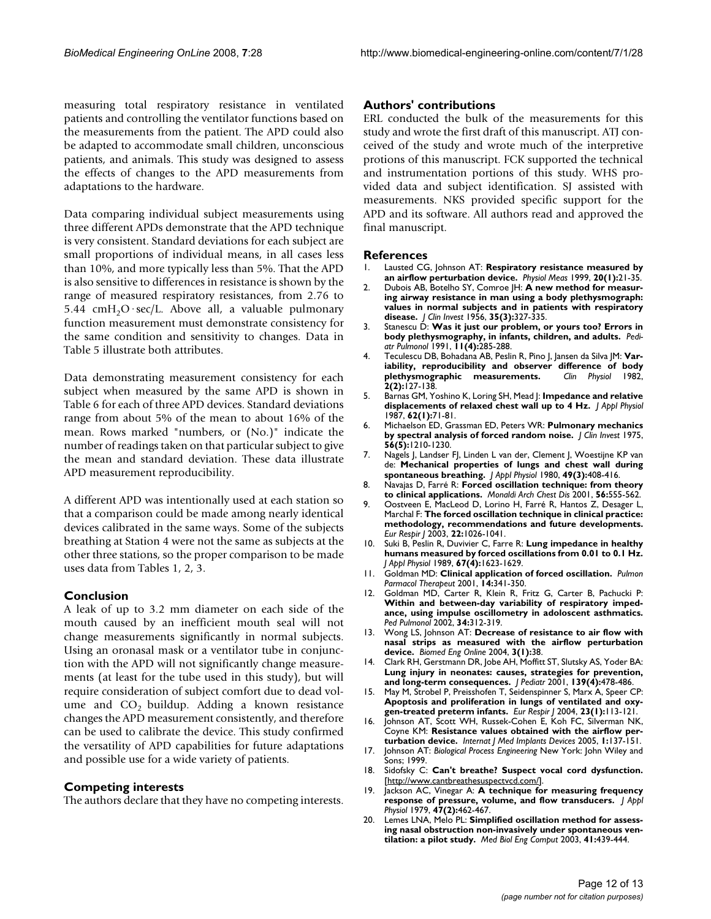measuring total respiratory resistance in ventilated patients and controlling the ventilator functions based on the measurements from the patient. The APD could also be adapted to accommodate small children, unconscious patients, and animals. This study was designed to assess the effects of changes to the APD measurements from adaptations to the hardware.

Data comparing individual subject measurements using three different APDs demonstrate that the APD technique is very consistent. Standard deviations for each subject are small proportions of individual means, in all cases less than 10%, and more typically less than 5%. That the APD is also sensitive to differences in resistance is shown by the range of measured respiratory resistances, from 2.76 to 5.44  $cmH_2O\cdot$ sec/L. Above all, a valuable pulmonary function measurement must demonstrate consistency for the same condition and sensitivity to changes. Data in Table 5 illustrate both attributes.

Data demonstrating measurement consistency for each subject when measured by the same APD is shown in Table 6 for each of three APD devices. Standard deviations range from about 5% of the mean to about 16% of the mean. Rows marked "numbers, or (No.)" indicate the number of readings taken on that particular subject to give the mean and standard deviation. These data illustrate APD measurement reproducibility.

A different APD was intentionally used at each station so that a comparison could be made among nearly identical devices calibrated in the same ways. Some of the subjects breathing at Station 4 were not the same as subjects at the other three stations, so the proper comparison to be made uses data from Tables 1, 2, 3.

### **Conclusion**

A leak of up to 3.2 mm diameter on each side of the mouth caused by an inefficient mouth seal will not change measurements significantly in normal subjects. Using an oronasal mask or a ventilator tube in conjunction with the APD will not significantly change measurements (at least for the tube used in this study), but will require consideration of subject comfort due to dead volume and  $CO<sub>2</sub>$  buildup. Adding a known resistance changes the APD measurement consistently, and therefore can be used to calibrate the device. This study confirmed the versatility of APD capabilities for future adaptations and possible use for a wide variety of patients.

#### **Competing interests**

The authors declare that they have no competing interests.

#### **Authors' contributions**

ERL conducted the bulk of the measurements for this study and wrote the first draft of this manuscript. ATJ conceived of the study and wrote much of the interpretive protions of this manuscript. FCK supported the technical and instrumentation portions of this study. WHS provided data and subject identification. SJ assisted with measurements. NKS provided specific support for the APD and its software. All authors read and approved the final manuscript.

#### **References**

- 1. Lausted CG, Johnson AT: **[Respiratory resistance measured by](http://www.ncbi.nlm.nih.gov/entrez/query.fcgi?cmd=Retrieve&db=PubMed&dopt=Abstract&list_uids=10374824) [an airflow perturbation device.](http://www.ncbi.nlm.nih.gov/entrez/query.fcgi?cmd=Retrieve&db=PubMed&dopt=Abstract&list_uids=10374824)** *Physiol Meas* 1999, **20(1):**21-35.
- 2. Dubois AB, Botelho SY, Comroe JH: **[A new method for measur](http://www.ncbi.nlm.nih.gov/entrez/query.fcgi?cmd=Retrieve&db=PubMed&dopt=Abstract&list_uids=13295397)[ing airway resistance in man using a body plethysmograph:](http://www.ncbi.nlm.nih.gov/entrez/query.fcgi?cmd=Retrieve&db=PubMed&dopt=Abstract&list_uids=13295397) values in normal subjects and in patients with respiratory [disease.](http://www.ncbi.nlm.nih.gov/entrez/query.fcgi?cmd=Retrieve&db=PubMed&dopt=Abstract&list_uids=13295397)** *J Clin Invest* 1956, **35(3):**327-335.
- 3. Stanescu D: **[Was it just our problem, or yours too? Errors in](http://www.ncbi.nlm.nih.gov/entrez/query.fcgi?cmd=Retrieve&db=PubMed&dopt=Abstract&list_uids=1758752) [body plethysmography, in infants, children, and adults.](http://www.ncbi.nlm.nih.gov/entrez/query.fcgi?cmd=Retrieve&db=PubMed&dopt=Abstract&list_uids=1758752)** *Pediatr Pulmonol* 1991, **11(4):**285-288.
- 4. Teculescu DB, Bohadana AB, Peslin R, Pino J, Jansen da Silva JM: **[Var](http://www.ncbi.nlm.nih.gov/entrez/query.fcgi?cmd=Retrieve&db=PubMed&dopt=Abstract&list_uids=7200849)**[iability, reproducibility and observer difference of body](http://www.ncbi.nlm.nih.gov/entrez/query.fcgi?cmd=Retrieve&db=PubMed&dopt=Abstract&list_uids=7200849)<br>plethysmographic measurements. Clin Physiol 1982, **[plethysmographic measurements.](http://www.ncbi.nlm.nih.gov/entrez/query.fcgi?cmd=Retrieve&db=PubMed&dopt=Abstract&list_uids=7200849)** *Clin Physiol* 1982, **2(2):**127-138.
- 5. Barnas GM, Yoshino K, Loring SH, Mead J: **[Impedance and relative](http://www.ncbi.nlm.nih.gov/entrez/query.fcgi?cmd=Retrieve&db=PubMed&dopt=Abstract&list_uids=3558198) [displacements of relaxed chest wall up to 4 Hz.](http://www.ncbi.nlm.nih.gov/entrez/query.fcgi?cmd=Retrieve&db=PubMed&dopt=Abstract&list_uids=3558198)** *J Appl Physiol* 1987, **62(1):**71-81.
- 6. Michaelson ED, Grassman ED, Peters WR: **[Pulmonary mechanics](http://www.ncbi.nlm.nih.gov/entrez/query.fcgi?cmd=Retrieve&db=PubMed&dopt=Abstract&list_uids=1184746) [by spectral analysis of forced random noise.](http://www.ncbi.nlm.nih.gov/entrez/query.fcgi?cmd=Retrieve&db=PubMed&dopt=Abstract&list_uids=1184746)** *J Clin Invest* 1975, **56(5):**1210-1230.
- 7. Nagels J, Landser FJ, Linden L van der, Clement J, Woestijne KP van de: **[Mechanical properties of lungs and chest wall during](http://www.ncbi.nlm.nih.gov/entrez/query.fcgi?cmd=Retrieve&db=PubMed&dopt=Abstract&list_uids=7204163) [spontaneous breathing.](http://www.ncbi.nlm.nih.gov/entrez/query.fcgi?cmd=Retrieve&db=PubMed&dopt=Abstract&list_uids=7204163)** *J Appl Physiol* 1980, **49(3):**408-416.
- 8. Navajas D, Farré R: **[Forced oscillation technique: from theory](http://www.ncbi.nlm.nih.gov/entrez/query.fcgi?cmd=Retrieve&db=PubMed&dopt=Abstract&list_uids=11980289) [to clinical applications.](http://www.ncbi.nlm.nih.gov/entrez/query.fcgi?cmd=Retrieve&db=PubMed&dopt=Abstract&list_uids=11980289)** *Monaldi Arch Chest Dis* 2001, **56:**555-562.
- 9. Oostveen E, MacLeod D, Lorino H, Farré R, Hantos Z, Desager L, Marchal F: **[The forced oscillation technique in clinical practice:](http://www.ncbi.nlm.nih.gov/entrez/query.fcgi?cmd=Retrieve&db=PubMed&dopt=Abstract&list_uids=14680096) [methodology, recommendations and future developments.](http://www.ncbi.nlm.nih.gov/entrez/query.fcgi?cmd=Retrieve&db=PubMed&dopt=Abstract&list_uids=14680096)** *Eur Respir J* 2003, **22:**1026-1041.
- 10. Suki B, Peslin R, Duvivier C, Farre R: **[Lung impedance in healthy](http://www.ncbi.nlm.nih.gov/entrez/query.fcgi?cmd=Retrieve&db=PubMed&dopt=Abstract&list_uids=2793762) [humans measured by forced oscillations from 0.01 to 0.1 Hz.](http://www.ncbi.nlm.nih.gov/entrez/query.fcgi?cmd=Retrieve&db=PubMed&dopt=Abstract&list_uids=2793762)** *J Appl Physiol* 1989, **67(4):**1623-1629.
- 11. Goldman MD: **Clinical application of forced oscillation.** *Pulmon Parmacol Therapeut* 2001, **14:**341-350.
- 12. Goldman MD, Carter R, Klein R, Fritz G, Carter B, Pachucki P: **Within and between-day variability of respiratory impedance, using impulse oscillometry in adoloscent asthmatics.** *Ped Pulmonol* 2002, **34:**312-319.
- 13. Wong LS, Johnson AT: **[Decrease of resistance to air flow with](http://www.ncbi.nlm.nih.gov/entrez/query.fcgi?cmd=Retrieve&db=PubMed&dopt=Abstract&list_uids=15500689) [nasal strips as measured with the airflow perturbation](http://www.ncbi.nlm.nih.gov/entrez/query.fcgi?cmd=Retrieve&db=PubMed&dopt=Abstract&list_uids=15500689) [device.](http://www.ncbi.nlm.nih.gov/entrez/query.fcgi?cmd=Retrieve&db=PubMed&dopt=Abstract&list_uids=15500689)** *Biomed Eng Online* 2004, **3(1):**38.
- 14. Clark RH, Gerstmann DR, Jobe AH, Moffitt ST, Slutsky AS, Yoder BA: **[Lung injury in neonates: causes, strategies for prevention,](http://www.ncbi.nlm.nih.gov/entrez/query.fcgi?cmd=Retrieve&db=PubMed&dopt=Abstract&list_uids=11598592) [and long-term consequences.](http://www.ncbi.nlm.nih.gov/entrez/query.fcgi?cmd=Retrieve&db=PubMed&dopt=Abstract&list_uids=11598592)** *J Pediatr* 2001, **139(4):**478-486.
- 15. May M, Strobel P, Preisshofen T, Seidenspinner S, Marx A, Speer CP: **[Apoptosis and proliferation in lungs of ventilated and oxy](http://www.ncbi.nlm.nih.gov/entrez/query.fcgi?cmd=Retrieve&db=PubMed&dopt=Abstract&list_uids=14738242)[gen-treated preterm infants.](http://www.ncbi.nlm.nih.gov/entrez/query.fcgi?cmd=Retrieve&db=PubMed&dopt=Abstract&list_uids=14738242)** *Eur Respir J* 2004, **23(1):**113-121.
- 16. Johnson AT, Scott WH, Russek-Cohen E, Koh FC, Silverman NK, Coyne KM: **Resistance values obtained with the airflow perturbation device.** *Internat J Med Implants Devices* 2005, **1:**137-151.
- 17. Johnson AT: *Biological Process Engineering* New York: John Wiley and Sons; 1999.
- 18. Sidofsky C: **Can't breathe? Suspect vocal cord dysfunction.** [<http://www.cantbreathesuspectvcd.com/>].
- 19. Jackson AC, Vinegar A: **[A technique for measuring frequency](http://www.ncbi.nlm.nih.gov/entrez/query.fcgi?cmd=Retrieve&db=PubMed&dopt=Abstract&list_uids=468704) [response of pressure, volume, and flow transducers.](http://www.ncbi.nlm.nih.gov/entrez/query.fcgi?cmd=Retrieve&db=PubMed&dopt=Abstract&list_uids=468704)** *J Appl Physiol* 1979, **47(2):**462-467.
- 20. Lemes LNA, Melo PL: **[Simplified oscillation method for assess](http://www.ncbi.nlm.nih.gov/entrez/query.fcgi?cmd=Retrieve&db=PubMed&dopt=Abstract&list_uids=12892367)[ing nasal obstruction non-invasively under spontaneous ven](http://www.ncbi.nlm.nih.gov/entrez/query.fcgi?cmd=Retrieve&db=PubMed&dopt=Abstract&list_uids=12892367)[tilation: a pilot study.](http://www.ncbi.nlm.nih.gov/entrez/query.fcgi?cmd=Retrieve&db=PubMed&dopt=Abstract&list_uids=12892367)** *Med Biol Eng Comput* 2003, **41:**439-444.